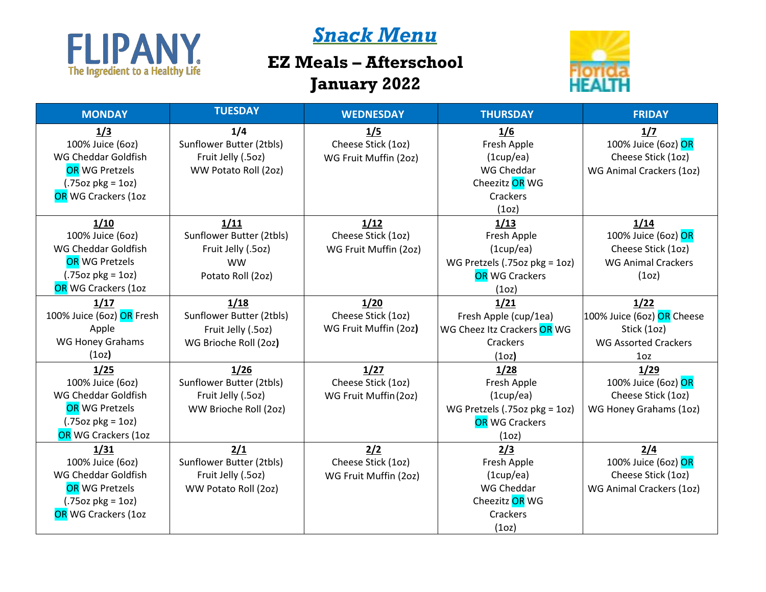

## *Snack Menu*

## **EZ Meals – Afterschool January 2022**



| <b>MONDAY</b>             | <b>TUESDAY</b>           | <b>WEDNESDAY</b>      | <b>THURSDAY</b>               | <b>FRIDAY</b>               |
|---------------------------|--------------------------|-----------------------|-------------------------------|-----------------------------|
| 1/3                       | 1/4                      | 1/5                   | 1/6                           | 1/7                         |
| 100% Juice (6oz)          | Sunflower Butter (2tbls) | Cheese Stick (1oz)    | Fresh Apple                   | 100% Juice (6oz) OR         |
| WG Cheddar Goldfish       | Fruit Jelly (.5oz)       | WG Fruit Muffin (2oz) | (1cup/ea)                     | Cheese Stick (1oz)          |
| <b>OR WG Pretzels</b>     | WW Potato Roll (2oz)     |                       | WG Cheddar                    | WG Animal Crackers (1oz)    |
| $(.75oz \, pkg = 1oz)$    |                          |                       | Cheezitz OR WG                |                             |
| OR WG Crackers (1oz       |                          |                       | Crackers                      |                             |
|                           |                          |                       | (1 <sub>O</sub> )             |                             |
| 1/10                      | 1/11                     | 1/12                  | 1/13                          | 1/14                        |
| 100% Juice (6oz)          | Sunflower Butter (2tbls) | Cheese Stick (1oz)    | Fresh Apple                   | 100% Juice (6oz) OR         |
| WG Cheddar Goldfish       | Fruit Jelly (.5oz)       | WG Fruit Muffin (2oz) | (1cupp/ea)                    | Cheese Stick (1oz)          |
| <b>OR WG Pretzels</b>     | <b>WW</b>                |                       | WG Pretzels (.75oz pkg = 1oz) | <b>WG Animal Crackers</b>   |
| $(.75oz \, pkg = 1oz)$    | Potato Roll (2oz)        |                       | <b>OR</b> WG Crackers         | (1 <sub>O</sub> )           |
| OR WG Crackers (1oz       |                          |                       | (1 <sub>oz</sub> )            |                             |
| 1/17                      | 1/18                     | 1/20                  | 1/21                          | 1/22                        |
| 100% Juice (6oz) OR Fresh | Sunflower Butter (2tbls) | Cheese Stick (1oz)    | Fresh Apple (cup/1ea)         | 100% Juice (6oz) OR Cheese  |
| Apple                     | Fruit Jelly (.5oz)       | WG Fruit Muffin (2oz) | WG Cheez Itz Crackers OR WG   | Stick (1oz)                 |
| <b>WG Honey Grahams</b>   | WG Brioche Roll (2oz)    |                       | Crackers                      | <b>WG Assorted Crackers</b> |
| (1 <sub>oz</sub> )        |                          |                       | (1 <sub>oz</sub> )            | 1 <sub>oz</sub>             |
| 1/25                      | 1/26                     | 1/27                  | 1/28                          | 1/29                        |
| 100% Juice (6oz)          | Sunflower Butter (2tbls) | Cheese Stick (1oz)    | Fresh Apple                   | 100% Juice (6oz) OR         |
| WG Cheddar Goldfish       | Fruit Jelly (.5oz)       | WG Fruit Muffin (20z) | (1cupp/ea)                    | Cheese Stick (1oz)          |
| <b>OR WG Pretzels</b>     | WW Brioche Roll (2oz)    |                       | WG Pretzels (.75oz pkg = 1oz) | WG Honey Grahams (1oz)      |
| $(.75oz \, pkg = 1oz)$    |                          |                       | <b>OR WG Crackers</b>         |                             |
| OR WG Crackers (1oz       |                          |                       | (1 <sub>O</sub> )             |                             |
| 1/31                      | 2/1                      | 2/2                   | 2/3                           | 2/4                         |
| 100% Juice (6oz)          | Sunflower Butter (2tbls) | Cheese Stick (1oz)    | Fresh Apple                   | 100% Juice (6oz) OR         |
| WG Cheddar Goldfish       | Fruit Jelly (.5oz)       | WG Fruit Muffin (2oz) | (1cup/ea)                     | Cheese Stick (1oz)          |
| <b>OR WG Pretzels</b>     | WW Potato Roll (2oz)     |                       | WG Cheddar                    | WG Animal Crackers (1oz)    |
| $(.75oz \, pkg = 1oz)$    |                          |                       | Cheezitz OR WG                |                             |
| OR WG Crackers (1oz       |                          |                       | Crackers                      |                             |
|                           |                          |                       | (1 <sub>O</sub> )             |                             |